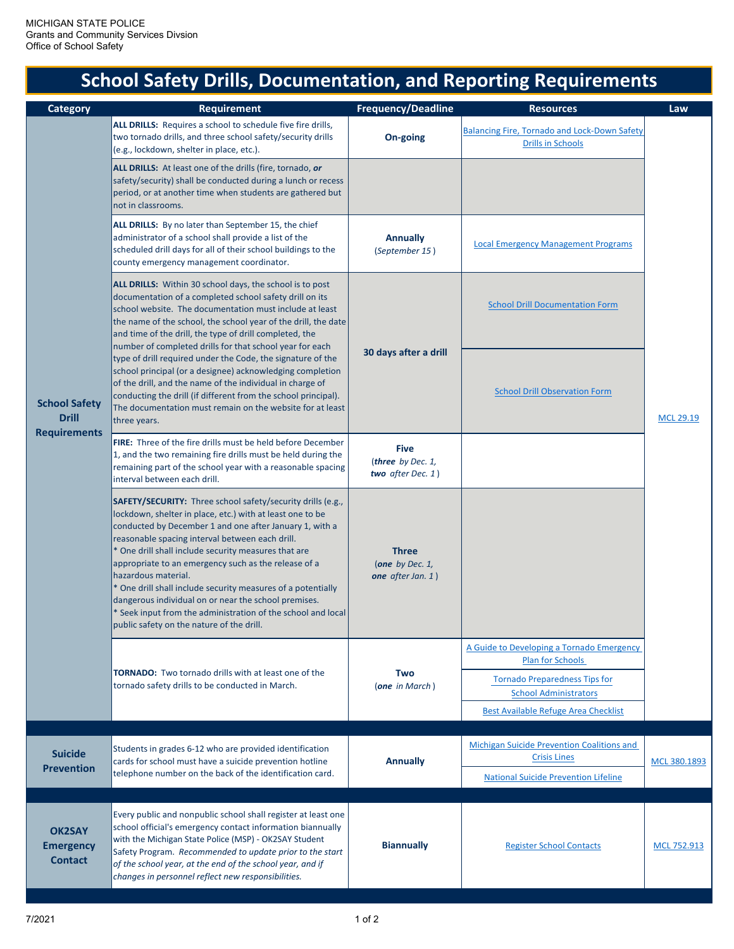## **School Safety Drills, Documentation, and Reporting Requirements**

| <b>Category</b>                                             | Requirement                                                                                                                                                                                                                                                                                                                                                                                                                                                                                                                                                                                                               | <b>Frequency/Deadline</b>                                 | <b>Resources</b>                                                                                                                             | Law              |
|-------------------------------------------------------------|---------------------------------------------------------------------------------------------------------------------------------------------------------------------------------------------------------------------------------------------------------------------------------------------------------------------------------------------------------------------------------------------------------------------------------------------------------------------------------------------------------------------------------------------------------------------------------------------------------------------------|-----------------------------------------------------------|----------------------------------------------------------------------------------------------------------------------------------------------|------------------|
| <b>School Safety</b><br><b>Drill</b><br><b>Requirements</b> | ALL DRILLS: Requires a school to schedule five fire drills,<br>two tornado drills, and three school safety/security drills<br>(e.g., lockdown, shelter in place, etc.).                                                                                                                                                                                                                                                                                                                                                                                                                                                   | On-going                                                  | <b>Balancing Fire, Tornado and Lock-Down Safety</b><br><b>Drills in Schools</b>                                                              | <b>MCL 29.19</b> |
|                                                             | ALL DRILLS: At least one of the drills (fire, tornado, or<br>safety/security) shall be conducted during a lunch or recess<br>period, or at another time when students are gathered but<br>not in classrooms.                                                                                                                                                                                                                                                                                                                                                                                                              |                                                           |                                                                                                                                              |                  |
|                                                             | ALL DRILLS: By no later than September 15, the chief<br>administrator of a school shall provide a list of the<br>scheduled drill days for all of their school buildings to the<br>county emergency management coordinator.                                                                                                                                                                                                                                                                                                                                                                                                | <b>Annually</b><br>(September 15)                         | <b>Local Emergency Management Programs</b>                                                                                                   |                  |
|                                                             | ALL DRILLS: Within 30 school days, the school is to post<br>documentation of a completed school safety drill on its<br>school website. The documentation must include at least<br>the name of the school, the school year of the drill, the date<br>and time of the drill, the type of drill completed, the<br>number of completed drills for that school year for each                                                                                                                                                                                                                                                   | 30 days after a drill                                     | <b>School Drill Documentation Form</b>                                                                                                       |                  |
|                                                             | type of drill required under the Code, the signature of the<br>school principal (or a designee) acknowledging completion<br>of the drill, and the name of the individual in charge of<br>conducting the drill (if different from the school principal).<br>The documentation must remain on the website for at least<br>three years.                                                                                                                                                                                                                                                                                      |                                                           | <b>School Drill Observation Form</b>                                                                                                         |                  |
|                                                             | FIRE: Three of the fire drills must be held before December<br>1, and the two remaining fire drills must be held during the<br>remaining part of the school year with a reasonable spacing<br>interval between each drill.                                                                                                                                                                                                                                                                                                                                                                                                | <b>Five</b><br>(three by Dec. 1,<br>two after Dec. $1)$   |                                                                                                                                              |                  |
|                                                             | <b>SAFETY/SECURITY:</b> Three school safety/security drills (e.g.,<br>lockdown, shelter in place, etc.) with at least one to be<br>conducted by December 1 and one after January 1, with a<br>reasonable spacing interval between each drill.<br>* One drill shall include security measures that are<br>appropriate to an emergency such as the release of a<br>hazardous material.<br>* One drill shall include security measures of a potentially<br>dangerous individual on or near the school premises.<br>* Seek input from the administration of the school and local<br>public safety on the nature of the drill. | <b>Three</b><br>(one by Dec. $1$ ,<br>one after Jan. $1)$ |                                                                                                                                              |                  |
|                                                             | <b>TORNADO:</b> Two tornado drills with at least one of the<br>tornado safety drills to be conducted in March.                                                                                                                                                                                                                                                                                                                                                                                                                                                                                                            | Two<br>(one in March)                                     | A Guide to Developing a Tornado Emergency<br><b>Plan for Schools</b><br><b>Tornado Preparedness Tips for</b><br><b>School Administrators</b> |                  |
|                                                             |                                                                                                                                                                                                                                                                                                                                                                                                                                                                                                                                                                                                                           |                                                           | Best Available Refuge Area Checklist                                                                                                         |                  |
| <b>Suicide</b><br><b>Prevention</b>                         | Students in grades 6-12 who are provided identification<br>cards for school must have a suicide prevention hotline<br>telephone number on the back of the identification card.                                                                                                                                                                                                                                                                                                                                                                                                                                            | <b>Annually</b>                                           | <b>Michigan Suicide Prevention Coalitions and</b><br><b>Crisis Lines</b>                                                                     | MCL 380.1893     |
|                                                             |                                                                                                                                                                                                                                                                                                                                                                                                                                                                                                                                                                                                                           |                                                           | <b>National Suicide Prevention Lifeline</b>                                                                                                  |                  |
| <b>OK2SAY</b><br><b>Emergency</b><br><b>Contact</b>         | Every public and nonpublic school shall register at least one<br>school official's emergency contact information biannually<br>with the Michigan State Police (MSP) - OK2SAY Student<br>Safety Program. Recommended to update prior to the start<br>of the school year, at the end of the school year, and if<br>changes in personnel reflect new responsibilities.                                                                                                                                                                                                                                                       | <b>Biannually</b>                                         | <b>Register School Contacts</b>                                                                                                              | MCL 752.913      |